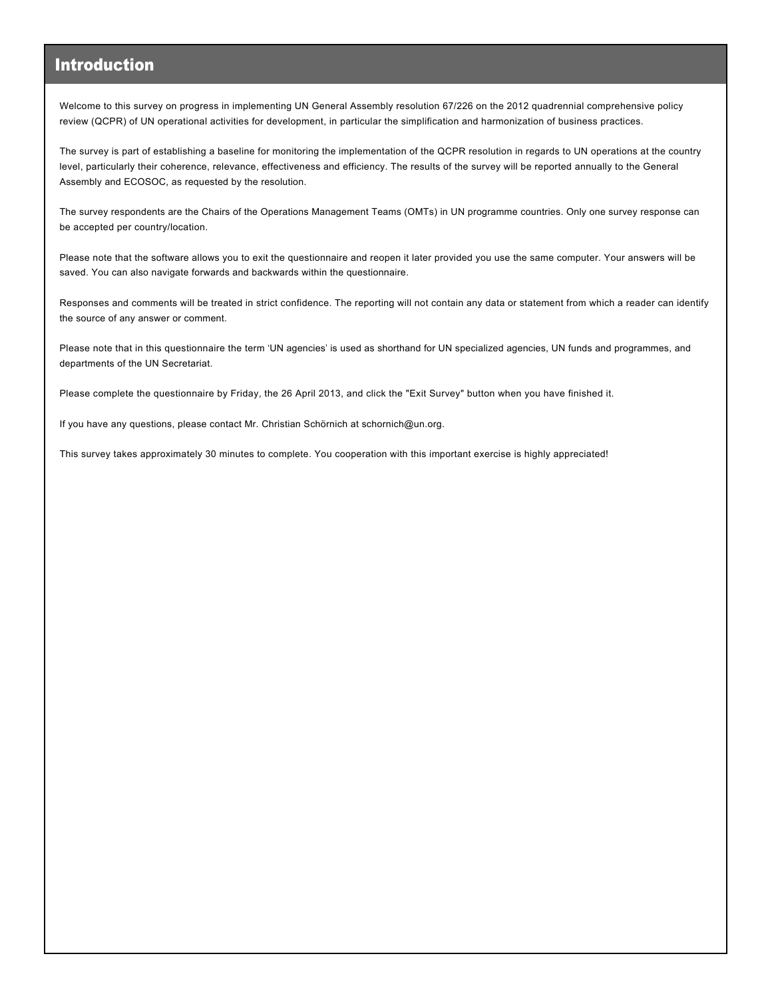#### Introduction

Welcome to this survey on progress in implementing UN General Assembly resolution 67/226 on the 2012 quadrennial comprehensive policy review (QCPR) of UN operational activities for development, in particular the simplification and harmonization of business practices.

The survey is part of establishing a baseline for monitoring the implementation of the QCPR resolution in regards to UN operations at the country level, particularly their coherence, relevance, effectiveness and efficiency. The results of the survey will be reported annually to the General Assembly and ECOSOC, as requested by the resolution.

The survey respondents are the Chairs of the Operations Management Teams (OMTs) in UN programme countries. Only one survey response can be accepted per country/location.

Please note that the software allows you to exit the questionnaire and reopen it later provided you use the same computer. Your answers will be saved. You can also navigate forwards and backwards within the questionnaire.

Responses and comments will be treated in strict confidence. The reporting will not contain any data or statement from which a reader can identify the source of any answer or comment.

Please note that in this questionnaire the term 'UN agencies' is used as shorthand for UN specialized agencies, UN funds and programmes, and departments of the UN Secretariat.

Please complete the questionnaire by Friday, the 26 April 2013, and click the "Exit Survey" button when you have finished it.

If you have any questions, please contact Mr. Christian Schörnich at schornich@un.org.

This survey takes approximately 30 minutes to complete. You cooperation with this important exercise is highly appreciated!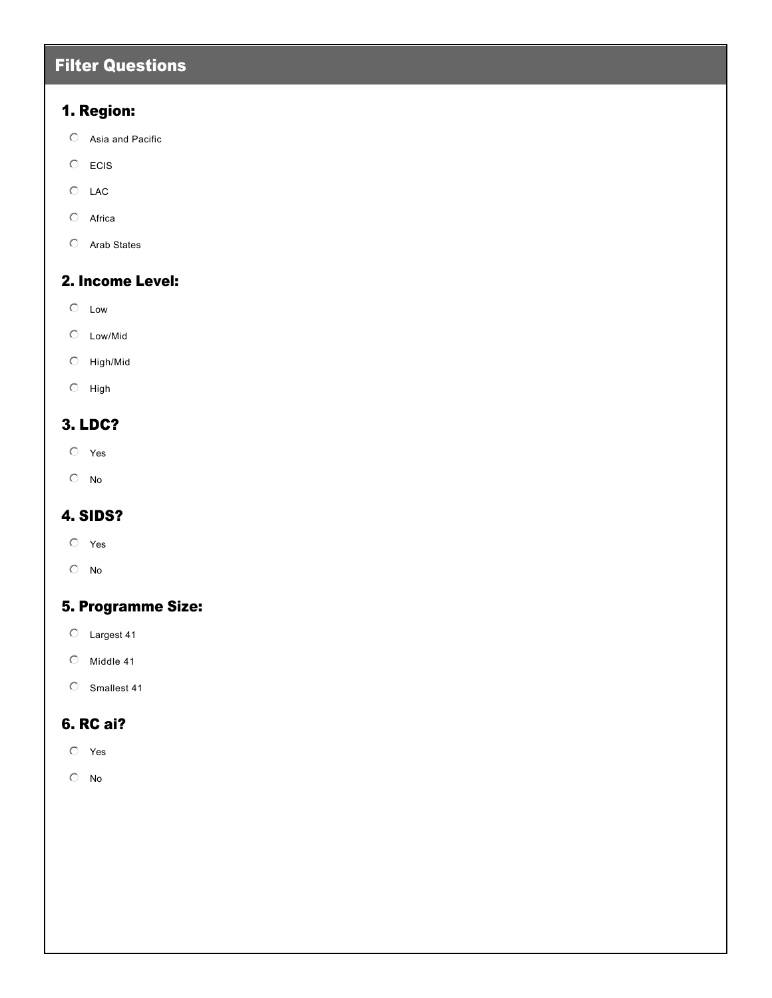### Filter Questions

#### 1. Region:

- $O$  Asia and Pacific
- $\odot$  ECIS
- $O$  LAC
- $O$  Africa
- $O$  Arab States

#### 2. Income Level:

- $\mathbb{C}$  Low
- $O$  Low/Mid
- $O$  High/Mid
- $\odot$  High

#### 3. LDC?

- $O$  Yes
- $\circ$  No

#### 4. SIDS?

- $O$  Yes
- $\circ$  No

#### 5. Programme Size:

- $O$  Largest 41
- $O$  Middle 41
- $O$  Smallest 41

#### 6. RC ai?

- $O$  Yes
- $\circ$  No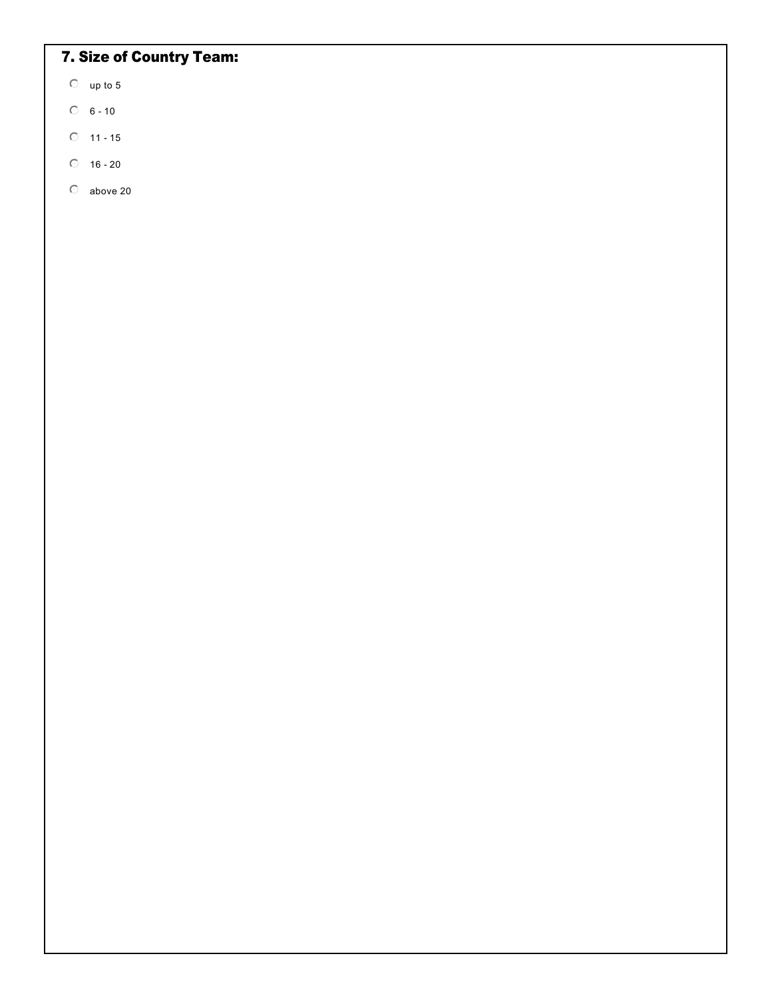# 7. Size of Country Team:

- $\heartsuit$  up to 5
- $06 10$
- $O$  11 15
- $\circ$  16 20
- $\circ$  above 20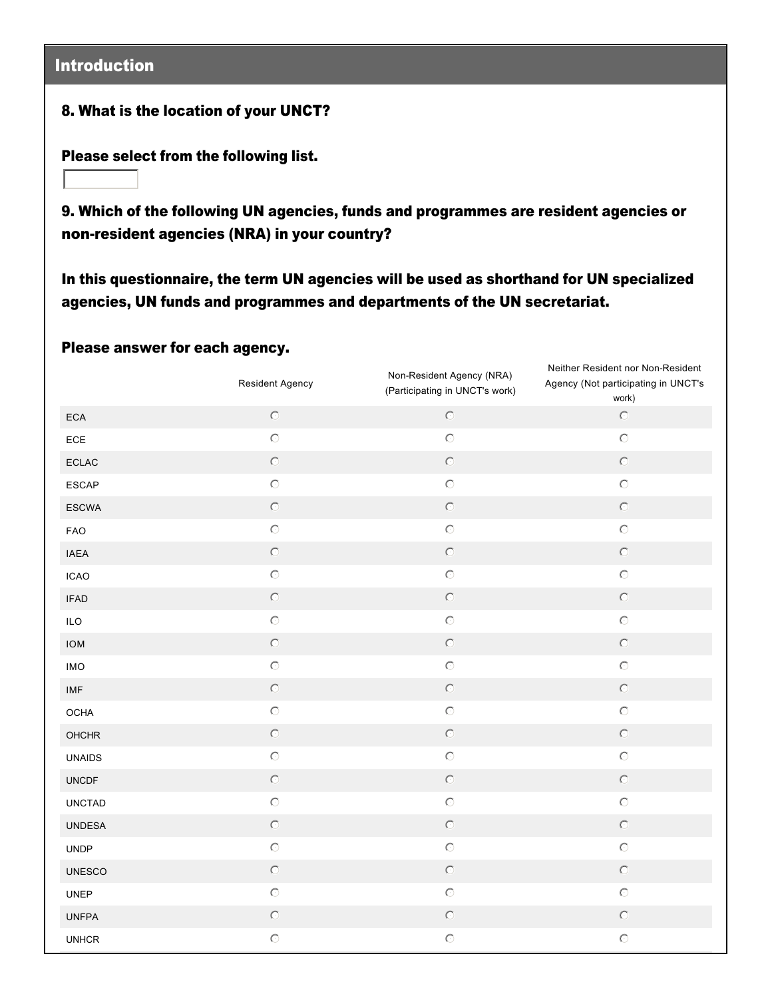### Introduction

#### 8. What is the location of your UNCT?

Please select from the following list.

 $\overline{\Xi}$ 

9. Which of the following UN agencies, funds and programmes are resident agencies or non-resident agencies (NRA) in your country?

In this questionnaire, the term UN agencies will be used as shorthand for UN specialized agencies, UN funds and programmes and departments of the UN secretariat.

#### Please answer for each agency.

|               | Resident Agency | Non-Resident Agency (NRA)<br>(Participating in UNCT's work) | Neither Resident nor Non-Resident<br>Agency (Not participating in UNCT's<br>work) |
|---------------|-----------------|-------------------------------------------------------------|-----------------------------------------------------------------------------------|
| ECA           | $\circ$         | $\bullet$                                                   | $\odot$                                                                           |
| ECE           | $\bullet$       | $\circ$                                                     | $\odot$                                                                           |
| <b>ECLAC</b>  | $\odot$         | $\odot$                                                     | $\odot$                                                                           |
| ESCAP         | $\bullet$       | $\bullet$                                                   | $\bullet$                                                                         |
| <b>ESCWA</b>  | $\circledcirc$  | $\odot$                                                     | $\odot$                                                                           |
| <b>FAO</b>    | $\circ$         | $\bullet$                                                   | $\odot$                                                                           |
| <b>IAEA</b>   | $\circledcirc$  | $\circledcirc$                                              | $\circledcirc$                                                                    |
| <b>ICAO</b>   | $\odot$         | $\odot$                                                     | $\circlearrowright$                                                               |
| <b>IFAD</b>   | $\bullet$       | $\bullet$                                                   | $\odot$                                                                           |
| ILO           | $\bullet$       | $\bullet$                                                   | $\circlearrowright$                                                               |
| <b>IOM</b>    | $\bullet$       | $\odot$                                                     | $\odot$                                                                           |
| <b>IMO</b>    | $\bullet$       | $\circlearrowright$                                         | $\circlearrowright$                                                               |
| IMF           | $\bullet$       | $\bullet$                                                   | $\odot$                                                                           |
| OCHA          | $\bullet$       | $\circlearrowright$                                         | $\circlearrowright$                                                               |
| <b>OHCHR</b>  | $\odot$         | $\odot$                                                     | $\odot$                                                                           |
| <b>UNAIDS</b> | $\bullet$       | $\circlearrowright$                                         | $\bigcirc$                                                                        |
| <b>UNCDF</b>  | $\odot$         | $\odot$                                                     | $\odot$                                                                           |
| <b>UNCTAD</b> | $\bullet$       | $\bullet$                                                   | $\odot$                                                                           |
| <b>UNDESA</b> | $\odot$         | $\odot$                                                     | $\circledcirc$                                                                    |
| <b>UNDP</b>   | $\odot$         | $\bullet$                                                   | $\circlearrowright$                                                               |
| <b>UNESCO</b> | $\odot$         | $\odot$                                                     | $\odot$                                                                           |
| <b>UNEP</b>   | $\bullet$       | $\odot$                                                     | $\circlearrowright$                                                               |
| <b>UNFPA</b>  | $\odot$         | $\odot$                                                     | $\odot$                                                                           |
| <b>UNHCR</b>  | $\bullet$       | $\bullet$                                                   | $\odot$                                                                           |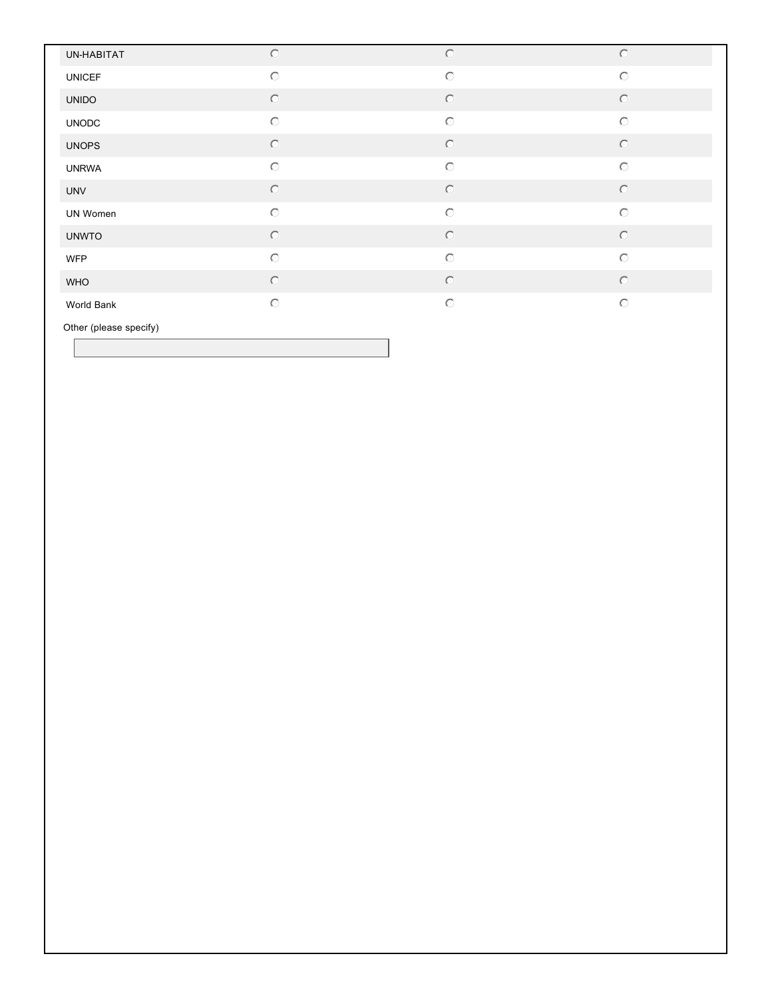| UN-HABITAT    | $\odot$ | $\circledcirc$      | $\odot$             |
|---------------|---------|---------------------|---------------------|
| <b>UNICEF</b> | $\odot$ | $\circlearrowright$ | $\circlearrowright$ |
| <b>UNIDO</b>  | $\odot$ | $\circ$             | $\circledcirc$      |
| <b>UNODC</b>  | $\odot$ | $\odot$             | $\circlearrowright$ |
| <b>UNOPS</b>  | $\odot$ | $\circledcirc$      | $\odot$             |
| <b>UNRWA</b>  | $\circ$ | $\odot$             | $\circlearrowright$ |
| <b>UNV</b>    | $\odot$ | $\circledcirc$      | $\circledcirc$      |
| UN Women      | $\odot$ | $\odot$             | $\circlearrowright$ |
| <b>UNWTO</b>  | $\circ$ | $\circledcirc$      | $\circledcirc$      |
| <b>WFP</b>    | $\circ$ | $\odot$             | $\circlearrowright$ |
| <b>WHO</b>    | $\circ$ | $\circledcirc$      | $\circledcirc$      |
| World Bank    | $\odot$ | $\odot$             | $\circlearrowright$ |

Other (please specify)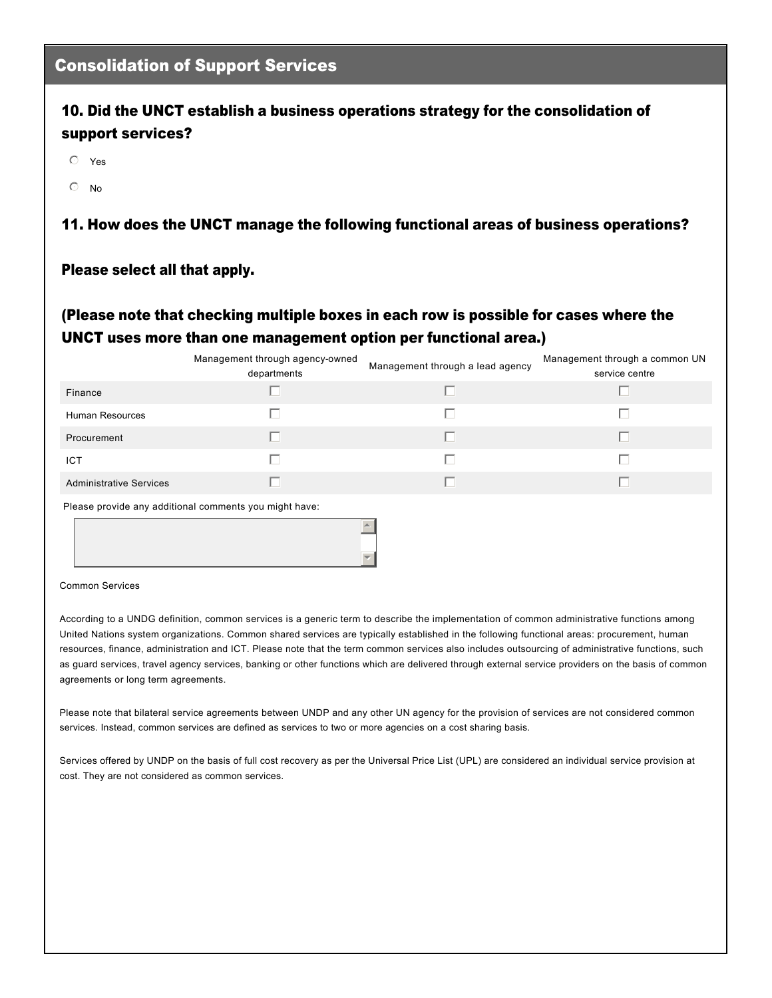#### Consolidation of Support Services

#### 10. Did the UNCT establish a business operations strategy for the consolidation of support services?

- $O$  Yes
- $\odot$  No

#### 11. How does the UNCT manage the following functional areas of business operations?

#### Please select all that apply.

#### (Please note that checking multiple boxes in each row is possible for cases where the UNCT uses more than one management option per functional area.)

|                                                        | Management through agency-owned | Management through a lead agency | Management through a common UN |  |  |
|--------------------------------------------------------|---------------------------------|----------------------------------|--------------------------------|--|--|
|                                                        | departments                     |                                  | service centre                 |  |  |
| Finance                                                |                                 |                                  |                                |  |  |
| <b>Human Resources</b>                                 | L.                              | ш                                |                                |  |  |
| Procurement                                            | П                               | г                                |                                |  |  |
| <b>ICT</b>                                             | H                               | H.                               |                                |  |  |
| <b>Administrative Services</b>                         | H                               | H.                               | ш                              |  |  |
| Please provide any additional comments you might have: |                                 |                                  |                                |  |  |
|                                                        |                                 |                                  |                                |  |  |

#### Common Services

According to a UNDG definition, common services is a generic term to describe the implementation of common administrative functions among United Nations system organizations. Common shared services are typically established in the following functional areas: procurement, human resources, finance, administration and ICT. Please note that the term common services also includes outsourcing of administrative functions, such as guard services, travel agency services, banking or other functions which are delivered through external service providers on the basis of common agreements or long term agreements.

6

Please note that bilateral service agreements between UNDP and any other UN agency for the provision of services are not considered common services. Instead, common services are defined as services to two or more agencies on a cost sharing basis.

Services offered by UNDP on the basis of full cost recovery as per the Universal Price List (UPL) are considered an individual service provision at cost. They are not considered as common services.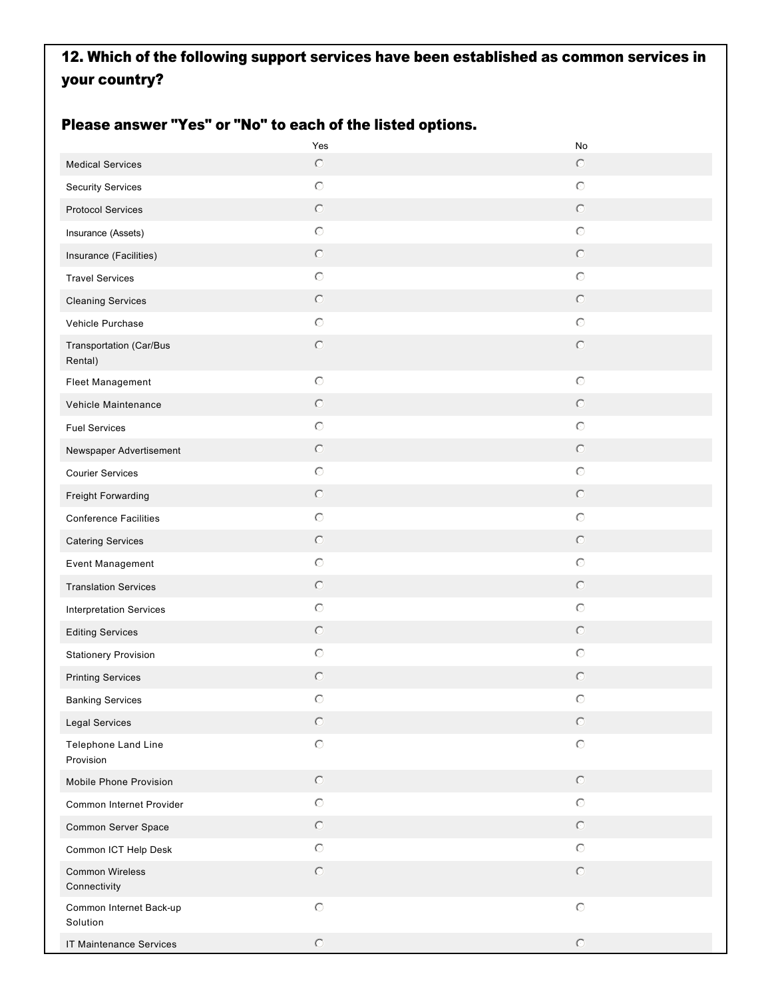## 12. Which of the following support services have been established as common services in your country?

#### Please answer "Yes" or "No" to each of the listed options.

|                                     | Yes            | No                   |
|-------------------------------------|----------------|----------------------|
| <b>Medical Services</b>             | $\circ$        | $\odot$              |
| <b>Security Services</b>            | $\odot$        | $\circlearrowright$  |
| <b>Protocol Services</b>            | $\circ$        | $\odot$              |
| Insurance (Assets)                  | $\odot$        | $\circlearrowright$  |
| Insurance (Facilities)              | $\circ$        | $\odot$              |
| <b>Travel Services</b>              | $\odot$        | $\odot$              |
| <b>Cleaning Services</b>            | $\odot$        | $\odot$              |
| Vehicle Purchase                    | $\odot$        | $\odot$              |
| Transportation (Car/Bus<br>Rental)  | $\odot$        | $\circledcirc$       |
| Fleet Management                    | $\odot$        | $\circ$              |
| Vehicle Maintenance                 | $\circ$        | $\odot$              |
| <b>Fuel Services</b>                | $\odot$        | $\circ$              |
| Newspaper Advertisement             | $\odot$        | $\circledcirc$       |
| <b>Courier Services</b>             | $\odot$        | $\circ$              |
| Freight Forwarding                  | $\odot$        | $\odot$              |
| <b>Conference Facilities</b>        | $\odot$        | $\circ$              |
| <b>Catering Services</b>            | $\odot$        | $\odot$              |
| Event Management                    | $\odot$        | $\circ$              |
| <b>Translation Services</b>         | $\circledcirc$ | $\odot$              |
| <b>Interpretation Services</b>      | $\odot$        | $\circ$              |
| <b>Editing Services</b>             | $\odot$        | $\odot$              |
| <b>Stationery Provision</b>         | $\odot$        | $\circ$              |
| <b>Printing Services</b>            | $\circ$        | $\circ$              |
| <b>Banking Services</b>             | $\circ$        | O                    |
| Legal Services                      | $\odot$        | $\circledcirc$       |
| Telephone Land Line<br>Provision    | $\mathbf C$    | $\circlearrowright$  |
| Mobile Phone Provision              | $\odot$        | $\circledcirc$       |
| Common Internet Provider            | $\odot$        | $\circ$              |
| Common Server Space                 | $\odot$        | $\circledcirc$       |
| Common ICT Help Desk                | $\odot$        | $\circlearrowright$  |
| Common Wireless<br>Connectivity     | $\odot$        | $\circlearrowright$  |
| Common Internet Back-up<br>Solution | $\odot$        | $\circlearrowright$  |
| IT Maintenance Services             | $\odot$        | $\hbox{ }\mathbb{C}$ |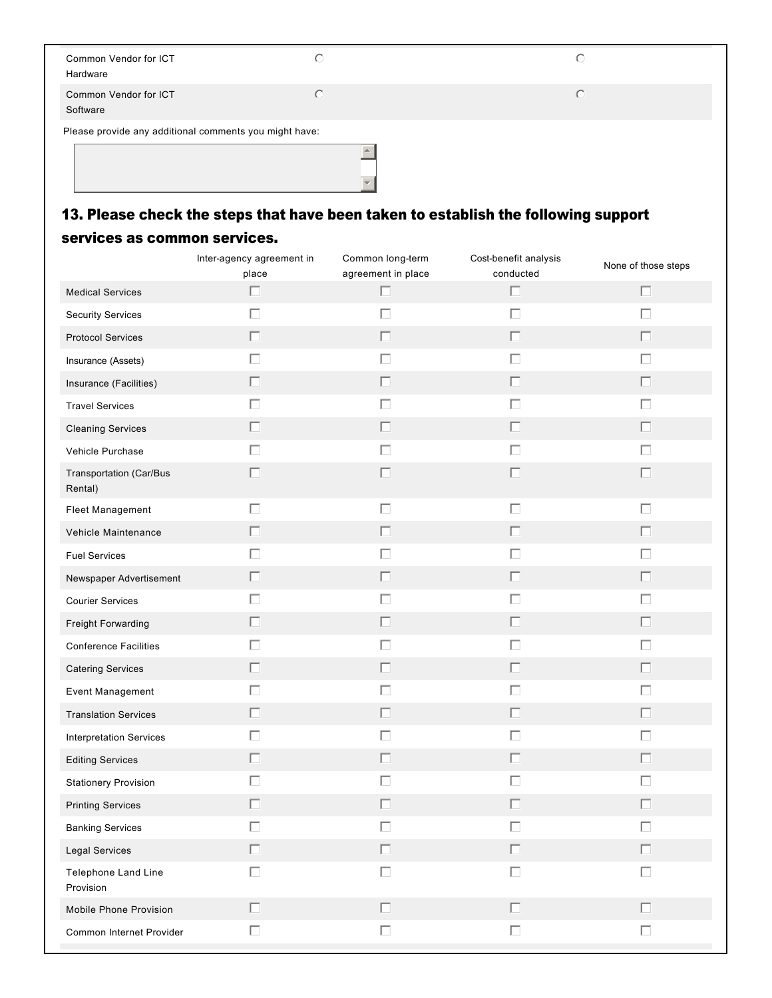| Common Vendor for ICT<br>Hardware                      | O          |
|--------------------------------------------------------|------------|
| Common Vendor for ICT<br>Software                      | $\bigcirc$ |
| Please provide any additional comments you might have: |            |

# 13. Please check the steps that have been taken to establish the following support

#### services as common services.

|                                    | Inter-agency agreement in<br>place | Common long-term<br>agreement in place | Cost-benefit analysis<br>conducted | None of those steps |
|------------------------------------|------------------------------------|----------------------------------------|------------------------------------|---------------------|
| <b>Medical Services</b>            | П                                  | $\Box$                                 | $\Box$                             | $\Box$              |
| <b>Security Services</b>           | Г                                  | $\Box$                                 | $\Box$                             | $\Box$              |
| <b>Protocol Services</b>           | П                                  | $\Box$                                 | П                                  | П                   |
| Insurance (Assets)                 | П                                  | $\Box$                                 | $\Box$                             | $\Box$              |
| Insurance (Facilities)             | П                                  | $\Box$                                 | П                                  | П                   |
| <b>Travel Services</b>             | П                                  | $\Box$                                 | $\Box$                             | $\Box$              |
| <b>Cleaning Services</b>           | П                                  | $\Box$                                 | П                                  | П                   |
| Vehicle Purchase                   | П                                  | $\Box$                                 | $\Box$                             | $\Box$              |
| Transportation (Car/Bus<br>Rental) | ш                                  | П                                      | П                                  | П                   |
| Fleet Management                   | П                                  | $\Box$                                 | $\Box$                             | $\Box$              |
| Vehicle Maintenance                | П                                  | $\Box$                                 | П                                  | $\Box$              |
| <b>Fuel Services</b>               | П                                  | $\Box$                                 | $\Box$                             | $\Box$              |
| Newspaper Advertisement            | П                                  | $\Box$                                 | П                                  | $\Box$              |
| <b>Courier Services</b>            | П                                  | $\Box$                                 | $\Box$                             | $\Box$              |
| Freight Forwarding                 | П                                  | $\Box$                                 | П                                  | $\Box$              |
| <b>Conference Facilities</b>       | П                                  | $\Box$                                 | $\Box$                             | $\Box$              |
| <b>Catering Services</b>           | П                                  | $\Box$                                 | П                                  | $\Box$              |
| Event Management                   | П                                  | $\Box$                                 | $\Box$                             | $\Box$              |
| <b>Translation Services</b>        | П                                  | $\Box$                                 | $\Box$                             | $\Box$              |
| <b>Interpretation Services</b>     | П                                  | $\Box$                                 | $\Box$                             | $\Box$              |
| <b>Editing Services</b>            | П                                  | $\Box$                                 | П                                  | П                   |
| <b>Stationery Provision</b>        |                                    | $\Box$                                 | П                                  | □                   |
| <b>Printing Services</b>           | L                                  | П                                      | г                                  | П                   |
| <b>Banking Services</b>            |                                    | Г                                      | П                                  | П                   |
| Legal Services                     | $\Box$                             | $\Box$                                 | $\Box$                             | $\Box$              |
| Telephone Land Line<br>Provision   | П                                  | $\Box$                                 | $\Box$                             | $\Box$              |
| Mobile Phone Provision             | П                                  | $\Box$                                 | $\Box$                             | $\Box$              |
| Common Internet Provider           | $\Box$                             | $\Box$                                 | $\Box$                             | $\Box$              |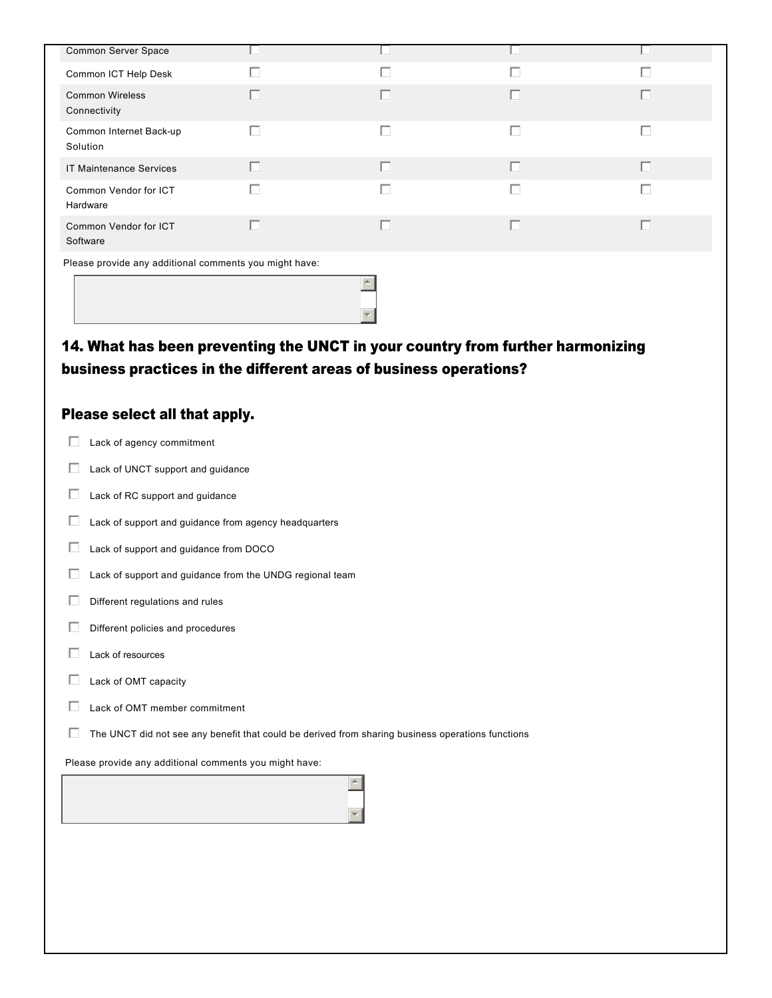| Common Server Space                                                            |   |   |   |   |  |  |
|--------------------------------------------------------------------------------|---|---|---|---|--|--|
| Common ICT Help Desk                                                           | H | П |   | г |  |  |
| <b>Common Wireless</b><br>Connectivity                                         | п | П | П | П |  |  |
| Common Internet Back-up<br>Solution                                            | П | П | П | Г |  |  |
| <b>IT Maintenance Services</b>                                                 | п | г | п | П |  |  |
| Common Vendor for ICT<br>Hardware                                              | П | П | П | Г |  |  |
| Common Vendor for ICT<br>Software                                              | п | г |   | П |  |  |
| Please provide any additional comments you might have:                         |   |   |   |   |  |  |
|                                                                                |   |   |   |   |  |  |
| 14. What has been preventing the UNCT in your country from further harmonizing |   |   |   |   |  |  |

## Please select all that apply.

| Lack of agency commitment                                                                         |
|---------------------------------------------------------------------------------------------------|
| Lack of UNCT support and guidance                                                                 |
| Lack of RC support and guidance                                                                   |
| Lack of support and guidance from agency headquarters                                             |
| Lack of support and guidance from DOCO                                                            |
| Lack of support and guidance from the UNDG regional team                                          |
| Different regulations and rules                                                                   |
| Different policies and procedures                                                                 |
| Lack of resources                                                                                 |
| Lack of OMT capacity                                                                              |
| Lack of OMT member commitment                                                                     |
| The UNCT did not see any benefit that could be derived from sharing business operations functions |
| Please provide any additional comments you might have:                                            |
|                                                                                                   |
|                                                                                                   |

business practices in the different areas of business operations?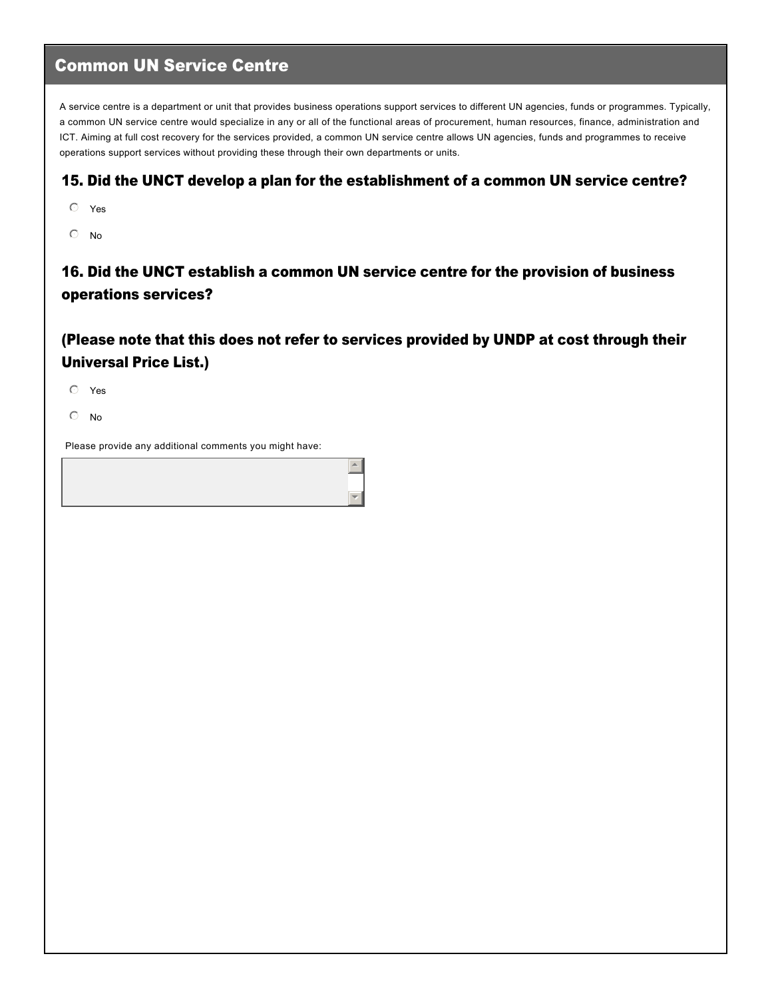### Common UN Service Centre

A service centre is a department or unit that provides business operations support services to different UN agencies, funds or programmes. Typically, a common UN service centre would specialize in any or all of the functional areas of procurement, human resources, finance, administration and ICT. Aiming at full cost recovery for the services provided, a common UN service centre allows UN agencies, funds and programmes to receive operations support services without providing these through their own departments or units.

#### 15. Did the UNCT develop a plan for the establishment of a common UN service centre?

- $O$  Yes
- $\odot$  No

16. Did the UNCT establish a common UN service centre for the provision of business operations services?

(Please note that this does not refer to services provided by UNDP at cost through their Universal Price List.)

 $\blacktriangle$ 

6

 $O$  Yes

 $\odot$  No

Please provide any additional comments you might have: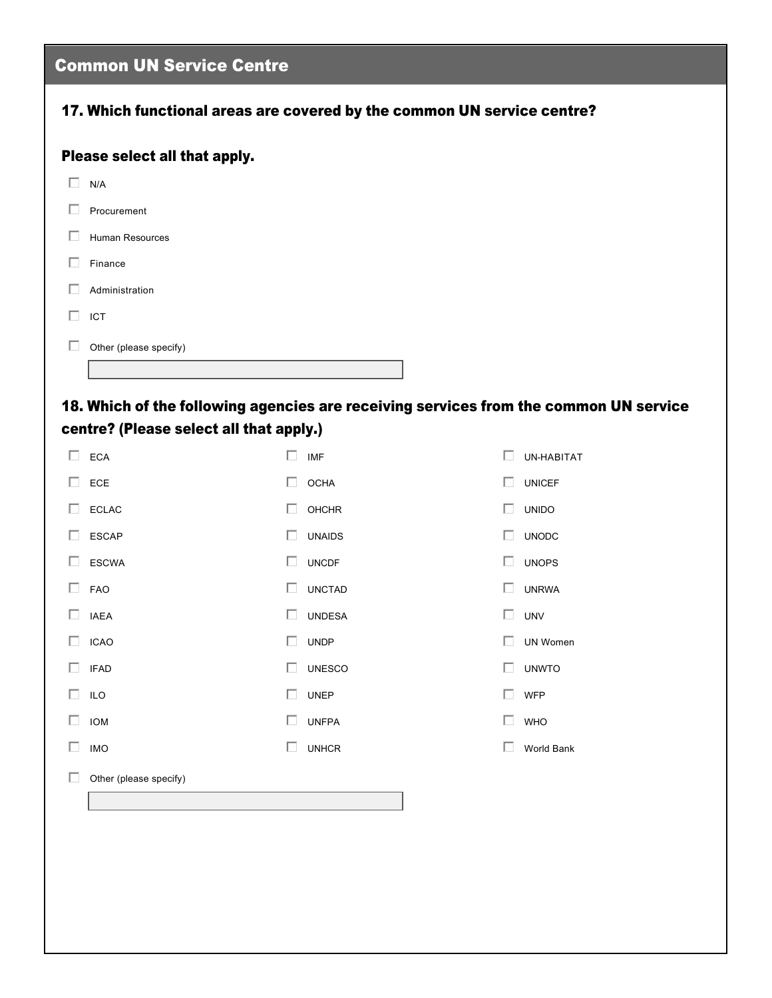|        | <b>Common UN Service Centre</b>                                                       |        |               |              |               |  |  |
|--------|---------------------------------------------------------------------------------------|--------|---------------|--------------|---------------|--|--|
|        | 17. Which functional areas are covered by the common UN service centre?               |        |               |              |               |  |  |
|        | Please select all that apply.                                                         |        |               |              |               |  |  |
| $\Box$ | N/A                                                                                   |        |               |              |               |  |  |
| П.     | Procurement                                                                           |        |               |              |               |  |  |
| П      | Human Resources                                                                       |        |               |              |               |  |  |
| П.     | Finance                                                                               |        |               |              |               |  |  |
| П      | Administration                                                                        |        |               |              |               |  |  |
| $\Box$ | ICT                                                                                   |        |               |              |               |  |  |
| П      | Other (please specify)                                                                |        |               |              |               |  |  |
|        |                                                                                       |        |               |              |               |  |  |
|        | 18. Which of the following agencies are receiving services from the common UN service |        |               |              |               |  |  |
|        | centre? (Please select all that apply.)                                               |        |               |              |               |  |  |
|        | $\square$ ECA                                                                         | $\Box$ | <b>IMF</b>    | П            | UN-HABITAT    |  |  |
| П.     | ECE                                                                                   | $\Box$ | <b>OCHA</b>   | П            | <b>UNICEF</b> |  |  |
| П.     | <b>ECLAC</b>                                                                          | □      | <b>OHCHR</b>  | П            | <b>UNIDO</b>  |  |  |
| П.     | <b>ESCAP</b>                                                                          | ш      | <b>UNAIDS</b> | $\mathbf{L}$ | <b>UNODC</b>  |  |  |
| П.     | <b>ESCWA</b>                                                                          | П.     | <b>UNCDF</b>  | $\Box$       | <b>UNOPS</b>  |  |  |
| n.     | <b>FAO</b>                                                                            | H      | <b>UNCTAD</b> |              | <b>UNRWA</b>  |  |  |
|        | $\Box$ IAEA                                                                           |        | <b>UNDESA</b> | $\Box$       | <b>UNV</b>    |  |  |
|        | $\Box$ ICAO                                                                           | $\Box$ | <b>UNDP</b>   | П.           | UN Women      |  |  |
|        | $\Box$ IFAD                                                                           | $\Box$ | <b>UNESCO</b> | n.           | <b>UNWTO</b>  |  |  |
|        | $\Box$ ILO                                                                            | $\Box$ | <b>UNEP</b>   | n.           | <b>WFP</b>    |  |  |
|        | $\Box$ IOM                                                                            | $\Box$ | <b>UNFPA</b>  | $\Box$       | <b>WHO</b>    |  |  |
| $\Box$ | <b>IMO</b>                                                                            | П      | <b>UNHCR</b>  | П            | World Bank    |  |  |
| $\Box$ | Other (please specify)                                                                |        |               |              |               |  |  |
|        |                                                                                       |        |               |              |               |  |  |
|        |                                                                                       |        |               |              |               |  |  |
|        |                                                                                       |        |               |              |               |  |  |
|        |                                                                                       |        |               |              |               |  |  |
|        |                                                                                       |        |               |              |               |  |  |
|        |                                                                                       |        |               |              |               |  |  |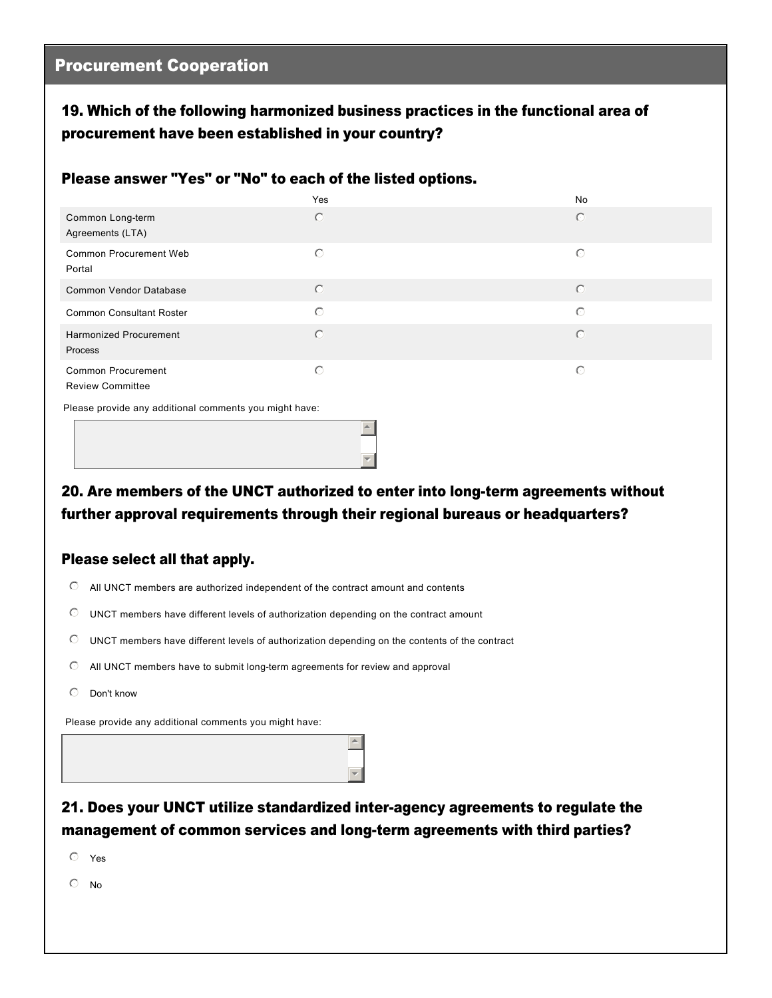#### 19. Which of the following harmonized business practices in the functional area of procurement have been established in your country?

#### Please answer "Yes" or "No" to each of the listed options.

|                                                        | Yes        | No      |
|--------------------------------------------------------|------------|---------|
| Common Long-term<br>Agreements (LTA)                   | $\circ$    | $\circ$ |
| <b>Common Procurement Web</b><br>Portal                | $\circ$    | $\circ$ |
| Common Vendor Database                                 | $\circ$    | $\circ$ |
| <b>Common Consultant Roster</b>                        | $\circ$    | $\circ$ |
| <b>Harmonized Procurement</b><br>Process               | $\bigcirc$ | $\circ$ |
| <b>Common Procurement</b><br><b>Review Committee</b>   | $\circ$    | $\circ$ |
| Please provide any additional comments you might have: |            |         |

20. Are members of the UNCT authorized to enter into long-term agreements without  $\mathbf{v}$ 

further approval requirements through their regional bureaus or headquarters?

 $\overline{\phantom{a}}$ 

#### Please select all that apply.

- $\degree$  All UNCT members are authorized independent of the contract amount and contents
- $\heartsuit$  UNCT members have different levels of authorization depending on the contract amount
- $\heartsuit$  UNCT members have different levels of authorization depending on the contents of the contract
- $\heartsuit$  All UNCT members have to submit long-term agreements for review and approval
- $\heartsuit$  Don't know

Please provide any additional comments you might have:

### 21. Does your UNCT utilize standardized interagency agreements to regulate the management of common services and long-term agreements with third parties?

 $\blacktriangle$ 

▼∥

 $O$  Yes

 $\circ$  No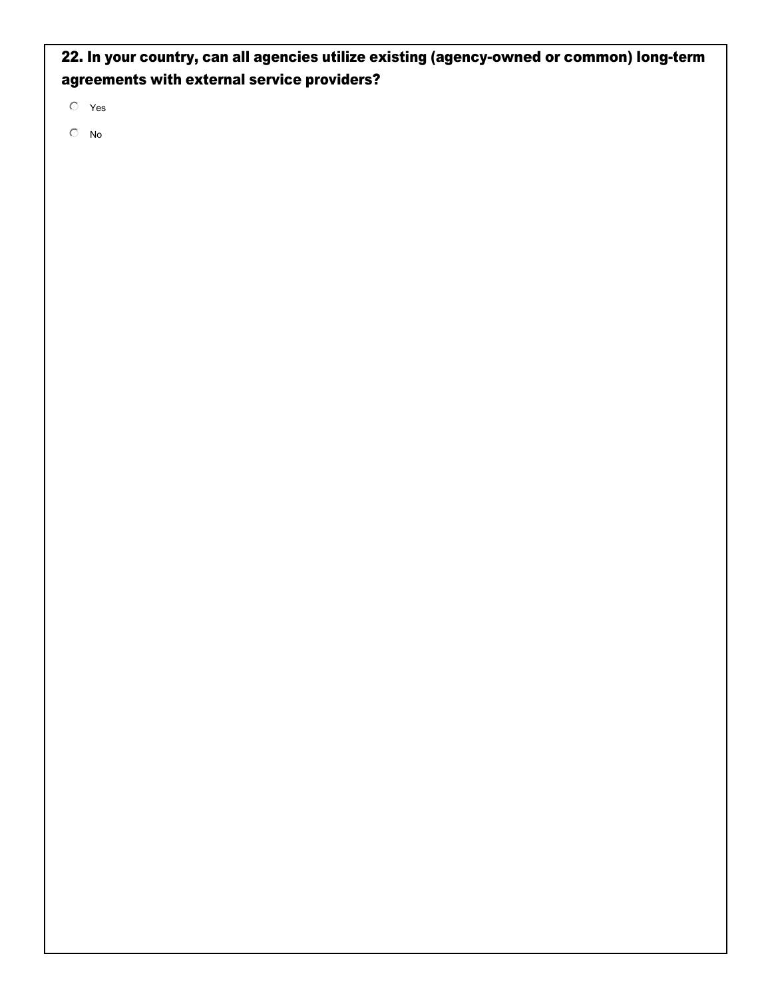22. In your country, can all agencies utilize existing (agency-owned or common) long-term agreements with external service providers?

 $O$  Yes

 $\mathbb{O}$  No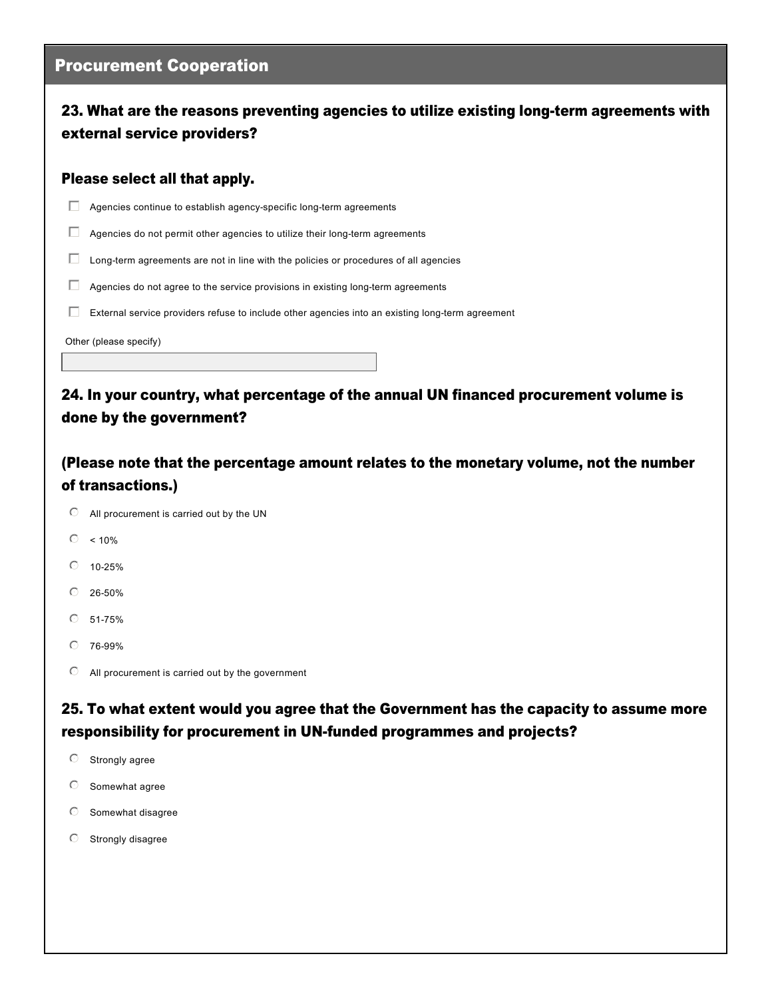#### Procurement Cooperation

#### 23. What are the reasons preventing agencies to utilize existing long-term agreements with external service providers?

#### Please select all that apply.

 $\Box$  Agencies continue to establish agency-specific long-term agreements

 $\Box$  Agencies do not permit other agencies to utilize their long-term agreements

 $\Box$  Long-term agreements are not in line with the policies or procedures of all agencies

 $\Box$  Agencies do not agree to the service provisions in existing long-term agreements

 $E$  External service providers refuse to include other agencies into an existing long-term agreement

Other (please specify)

24. In your country, what percentage of the annual UN financed procurement volume is done by the government?

(Please note that the percentage amount relates to the monetary volume, not the number of transactions.)

- $\heartsuit$  All procurement is carried out by the UN
- $\degree$  < 10%
- $0.10 25%$
- $0.26 50%$
- $O$  51-75%
- $O$  76-99%
- $\mathbb O$  All procurement is carried out by the government

25. To what extent would you agree that the Government has the capacity to assume more responsibility for procurement in UN-funded programmes and projects?

- $\heartsuit$  Strongly agree
- $\circ$  Somewhat agree
- $\heartsuit$  Somewhat disagree
- $O$  Strongly disagree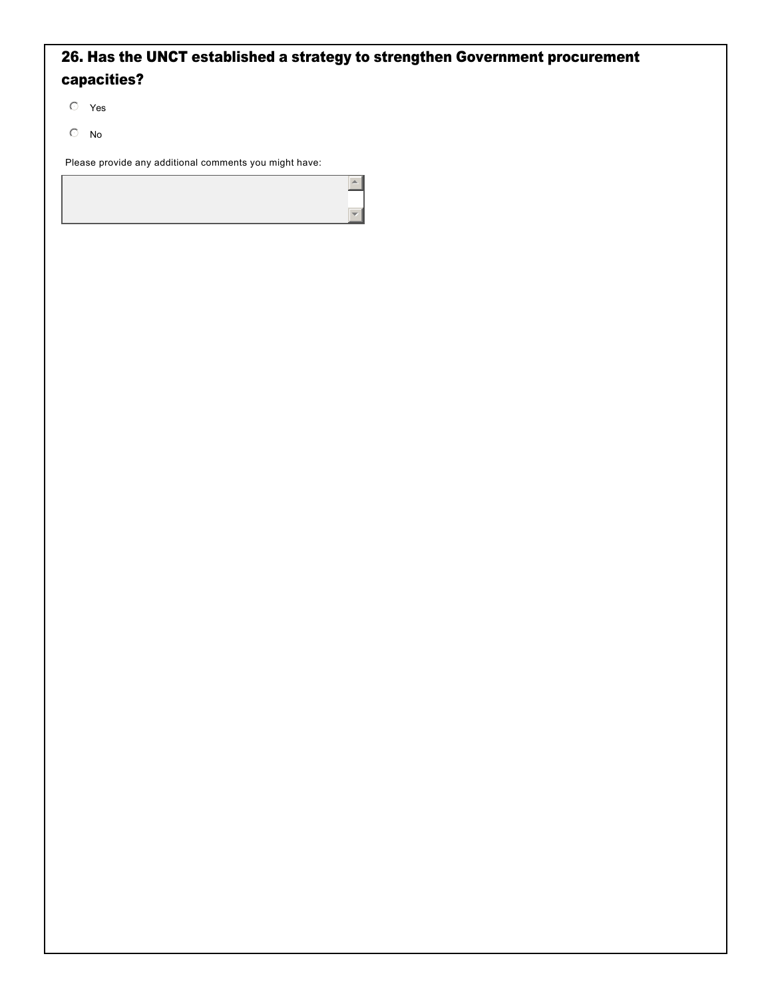### 26. Has the UNCT established a strategy to strengthen Government procurement capacities?

 $\left| \right|$ 

 $\overline{\phantom{a}}$ 

 $O$  Yes

 $\odot$  No

Please provide any additional comments you might have: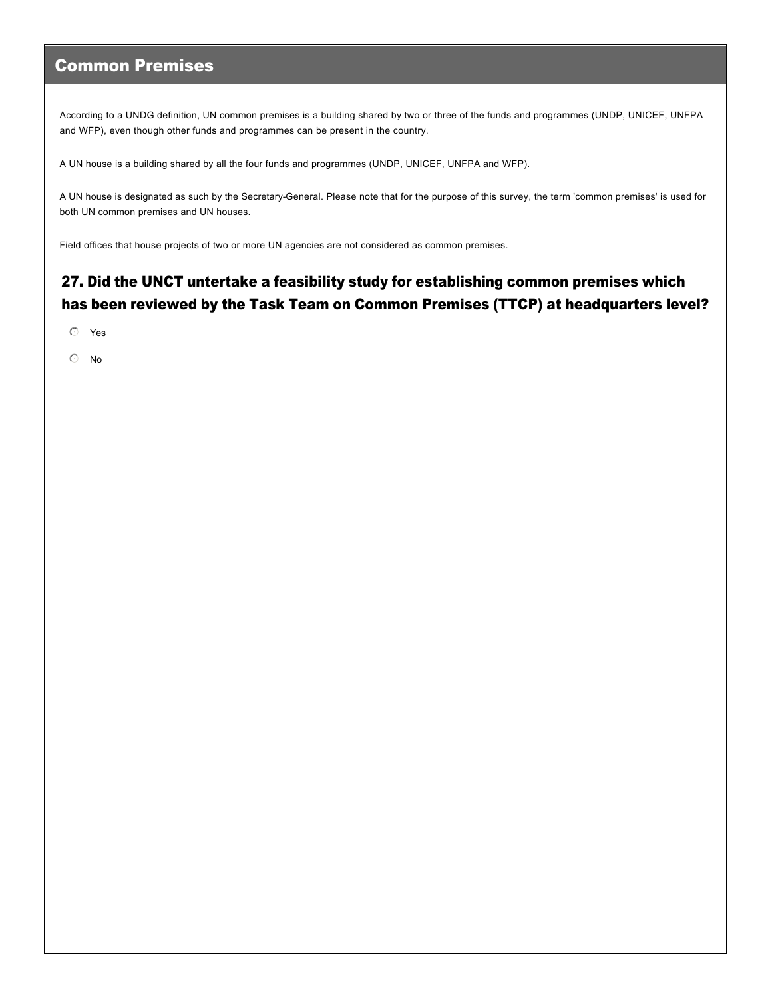### Common Premises

According to a UNDG definition, UN common premises is a building shared by two or three of the funds and programmes (UNDP, UNICEF, UNFPA and WFP), even though other funds and programmes can be present in the country.

A UN house is a building shared by all the four funds and programmes (UNDP, UNICEF, UNFPA and WFP).

A UN house is designated as such by the SecretaryGeneral. Please note that for the purpose of this survey, the term 'common premises' is used for both UN common premises and UN houses.

Field offices that house projects of two or more UN agencies are not considered as common premises.

### 27. Did the UNCT untertake a feasibility study for establishing common premises which has been reviewed by the Task Team on Common Premises (TTCP) at headquarters level?

 $O$  Yes

 $\odot$  No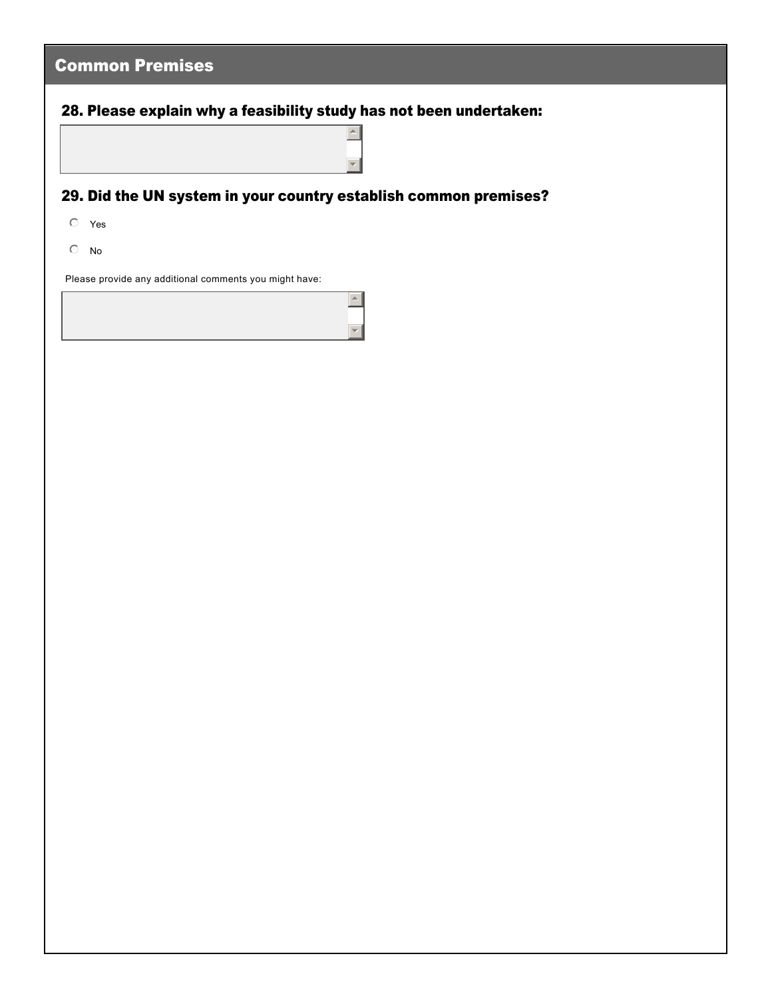| <b>Common Premises</b>                                                     |
|----------------------------------------------------------------------------|
| 28. Please explain why a feasibility study has not been undertaken:        |
| $\blacktriangle$                                                           |
|                                                                            |
| 29. Did the UN system in your country establish common premises?           |
| $O$ Yes                                                                    |
| $\circlearrowright$<br>No                                                  |
| Please provide any additional comments you might have:<br>$\blacktriangle$ |
|                                                                            |
|                                                                            |
|                                                                            |
|                                                                            |
|                                                                            |
|                                                                            |
|                                                                            |
|                                                                            |
|                                                                            |
|                                                                            |
|                                                                            |
|                                                                            |
|                                                                            |
|                                                                            |
|                                                                            |
|                                                                            |
|                                                                            |
|                                                                            |
|                                                                            |
|                                                                            |
|                                                                            |
|                                                                            |
|                                                                            |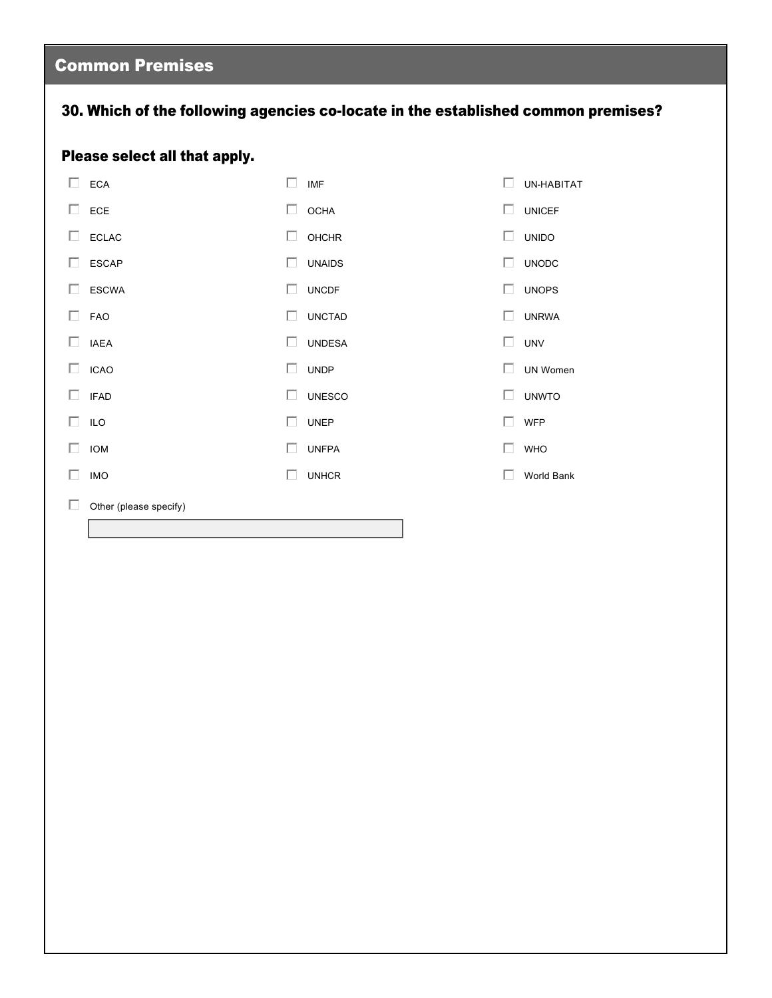# Common Premises

### 30. Which of the following agencies co-locate in the established common premises?

### Please select all that apply.

| П.           | <b>ECA</b>             | п  | <b>IMF</b>    |              | UN-HABITAT    |
|--------------|------------------------|----|---------------|--------------|---------------|
| ш            | ECE                    | П. | <b>OCHA</b>   | $\mathbf{L}$ | <b>UNICEF</b> |
| $\mathbf{L}$ | <b>ECLAC</b>           | П  | <b>OHCHR</b>  | ш            | <b>UNIDO</b>  |
| $\mathbf{L}$ | <b>ESCAP</b>           | П  | <b>UNAIDS</b> | П            | <b>UNODC</b>  |
| $\mathbf{L}$ | <b>ESCWA</b>           | □  | <b>UNCDF</b>  | П            | <b>UNOPS</b>  |
| ш            | FAO                    | П  | <b>UNCTAD</b> | П            | <b>UNRWA</b>  |
| Ш            | <b>IAEA</b>            | П  | <b>UNDESA</b> | П.           | <b>UNV</b>    |
| ш            | <b>ICAO</b>            | П  | <b>UNDP</b>   | п            | UN Women      |
| U            | <b>IFAD</b>            | П  | <b>UNESCO</b> | п            | <b>UNWTO</b>  |
| $\mathbf{L}$ | <b>ILO</b>             | □  | <b>UNEP</b>   | ш            | <b>WFP</b>    |
| $\mathbf{L}$ | <b>IOM</b>             | П  | <b>UNFPA</b>  | ш            | <b>WHO</b>    |
| ш            | <b>IMO</b>             | г  | <b>UNHCR</b>  |              | World Bank    |
|              | Other (please specify) |    |               |              |               |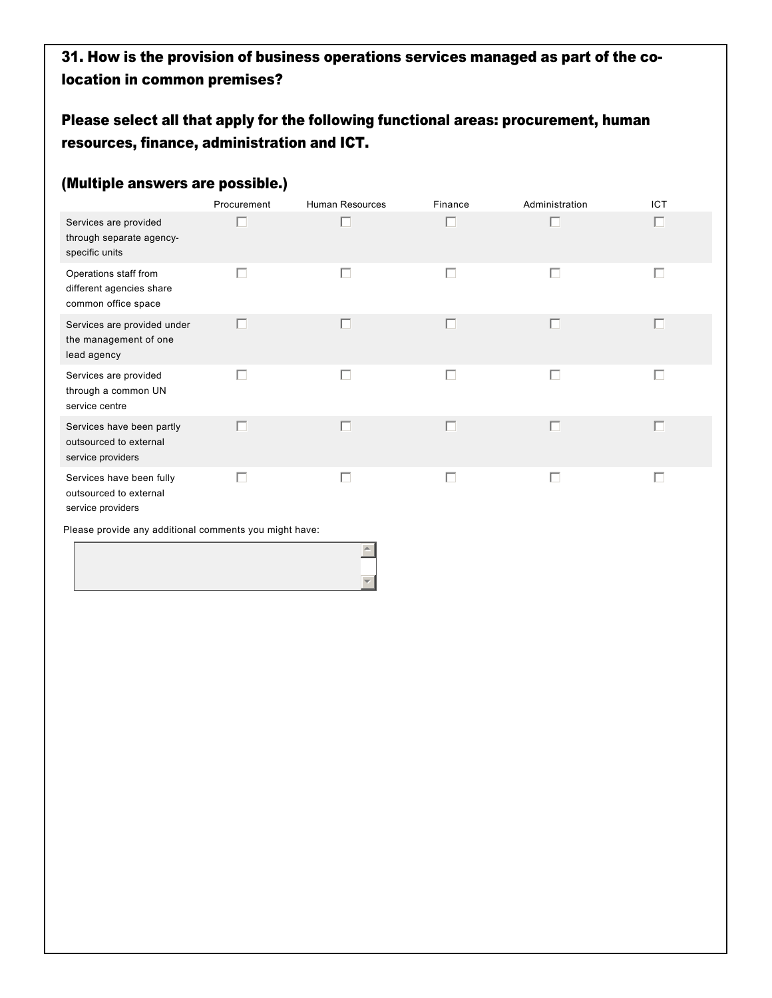### 31. How is the provision of business operations services managed as part of the colocation in common premises?

### Please select all that apply for the following functional areas: procurement, human resources, finance, administration and ICT.

#### (Multiple answers are possible.)

|                                                                          | Procurement  | <b>Human Resources</b> | Finance | Administration | ICT |
|--------------------------------------------------------------------------|--------------|------------------------|---------|----------------|-----|
| Services are provided<br>through separate agency-<br>specific units      |              |                        | П       | П              | П   |
| Operations staff from<br>different agencies share<br>common office space | г            | П                      | Е       | П              | Ι.  |
| Services are provided under<br>the management of one<br>lead agency      |              |                        |         | П              |     |
| Services are provided<br>through a common UN<br>service centre           | $\mathbf{L}$ | П                      | П       | П              | L.  |
| Services have been partly<br>outsourced to external<br>service providers |              |                        | г       | П              |     |
| Services have been fully<br>outsourced to external                       |              |                        |         | г              |     |

 $\triangleq$ 

 $\overline{\mathbf{v}}$ 

service providers

Please provide any additional comments you might have: